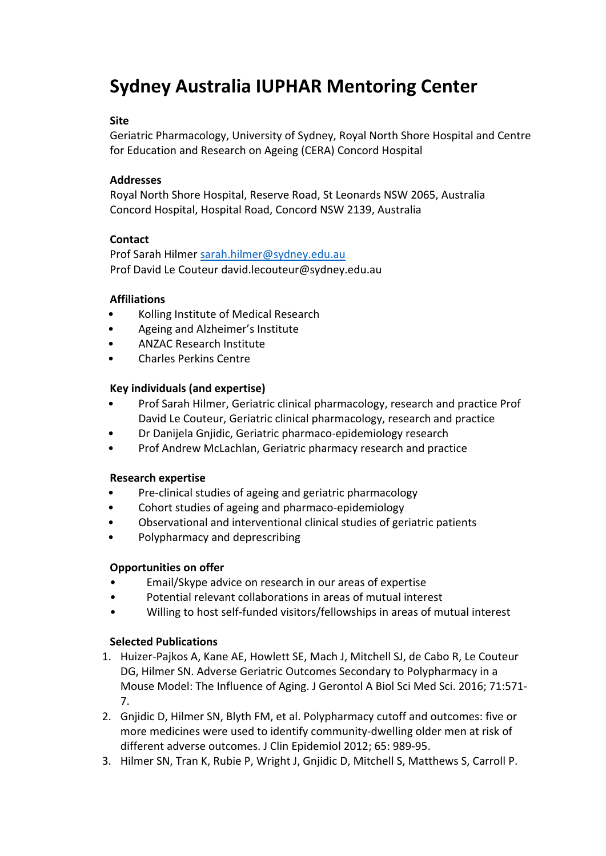# **Sydney Australia IUPHAR Mentoring Center**

#### **Site**

Geriatric Pharmacology, University of Sydney, Royal North Shore Hospital and Centre for Education and Research on Ageing (CERA) Concord Hospital

## **Addresses**

Royal North Shore Hospital, Reserve Road, St Leonards NSW 2065, Australia Concord Hospital, Hospital Road, Concord NSW 2139, Australia

## **Contact**

Prof Sarah Hilmer sarah.hilmer@sydney.edu.au Prof David Le Couteur david.lecouteur@sydney.edu.au

## **Affiliations**

- Kolling Institute of Medical Research
- Ageing and Alzheimer's Institute
- ANZAC Research Institute
- Charles Perkins Centre

## **Key individuals (and expertise)**

- Prof Sarah Hilmer, Geriatric clinical pharmacology, research and practice Prof David Le Couteur, Geriatric clinical pharmacology, research and practice
- Dr Danijela Gnjidic, Geriatric pharmaco‐epidemiology research
- Prof Andrew McLachlan, Geriatric pharmacy research and practice

#### **Research expertise**

- Pre‐clinical studies of ageing and geriatric pharmacology
- Cohort studies of ageing and pharmaco-epidemiology
- Observational and interventional clinical studies of geriatric patients
- Polypharmacy and deprescribing

#### **Opportunities on offer**

- Email/Skype advice on research in our areas of expertise
- Potential relevant collaborations in areas of mutual interest
- Willing to host self-funded visitors/fellowships in areas of mutual interest

#### **Selected Publications**

- 1. Huizer‐Pajkos A, Kane AE, Howlett SE, Mach J, Mitchell SJ, de Cabo R, Le Couteur DG, Hilmer SN. Adverse Geriatric Outcomes Secondary to Polypharmacy in a Mouse Model: The Influence of Aging. J Gerontol A Biol Sci Med Sci. 2016; 71:571‐ 7.
- 2. Gnjidic D, Hilmer SN, Blyth FM, et al. Polypharmacy cutoff and outcomes: five or more medicines were used to identify community‐dwelling older men at risk of different adverse outcomes. J Clin Epidemiol 2012; 65: 989‐95.
- 3. Hilmer SN, Tran K, Rubie P, Wright J, Gnjidic D, Mitchell S, Matthews S, Carroll P.